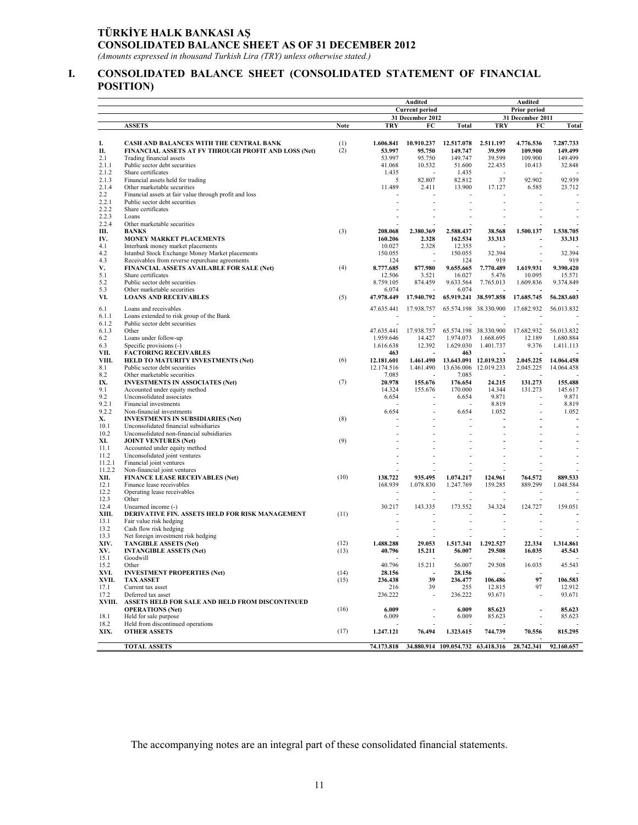## **TÜRKİYE HALK BANKASI AŞ CONSOLIDATED BALANCE SHEET AS OF 31 DECEMBER 2012**

*(Amounts expressed in thousand Turkish Lira (TRY) unless otherwise stated.)* 

#### **I. CONSOLIDATED BALANCE SHEET (CONSOLIDATED STATEMENT OF FINANCIAL POSITION)**

|                |                                                                                       |             | Audited                  |                          |                                   | <b>Audited</b>           |                          |                        |  |  |  |
|----------------|---------------------------------------------------------------------------------------|-------------|--------------------------|--------------------------|-----------------------------------|--------------------------|--------------------------|------------------------|--|--|--|
|                |                                                                                       |             | <b>Current period</b>    |                          |                                   | Prior period             |                          |                        |  |  |  |
|                |                                                                                       |             |                          | 31 December 2012         |                                   |                          | 31 December 2011         |                        |  |  |  |
|                | <b>ASSETS</b>                                                                         | <b>Note</b> | TRY                      | FC                       | <b>Total</b>                      | TRY                      | FC                       | Total                  |  |  |  |
|                |                                                                                       |             |                          |                          |                                   |                          |                          |                        |  |  |  |
| I.             | CASH AND BALANCES WITH THE CENTRAL BANK                                               | (1)         | 1.606.841                | 10.910.237               | 12.517.078                        | 2.511.197                | 4.776.536                | 7.287.733              |  |  |  |
| П.             | FINANCIAL ASSETS AT FV THROUGH PROFIT AND LOSS (Net)                                  | (2)         | 53.997                   | 95.750                   | 149.747                           | 39.599                   | 109.900                  | 149.499                |  |  |  |
| 2.1            | Trading financial assets                                                              |             | 53.997                   | 95.750                   | 149.747                           | 39.599                   | 109.900                  | 149.499                |  |  |  |
| 2.1.1          | Public sector debt securities                                                         |             | 41.068                   | 10.532                   | 51.600                            | 22.435                   | 10.413                   | 32.848                 |  |  |  |
| 2.1.2          | Share certificates                                                                    |             | 1.435                    | $\sim$                   | 1.435                             | $\overline{\phantom{a}}$ |                          |                        |  |  |  |
| 2.1.3<br>2.1.4 | Financial assets held for trading                                                     |             | 5<br>11.489              | 82.807<br>2.411          | 82.812<br>13.900                  | 37<br>17.127             | 92.902                   | 92.939                 |  |  |  |
| 2.2            | Other marketable securities<br>Financial assets at fair value through profit and loss |             |                          |                          |                                   |                          | 6.585                    | 23.712                 |  |  |  |
| 2.2.1          | Public sector debt securities                                                         |             |                          |                          | $\overline{a}$                    | ÷.                       |                          |                        |  |  |  |
| 2.2.2          | Share certificates                                                                    |             |                          |                          |                                   |                          |                          |                        |  |  |  |
| 2.2.3          | Loans                                                                                 |             |                          |                          |                                   |                          |                          |                        |  |  |  |
| 2.2.4          | Other marketable securities                                                           |             |                          |                          |                                   |                          |                          |                        |  |  |  |
| Ш.             | <b>BANKS</b>                                                                          | (3)         | 208.068                  | 2.380.369                | 2.588.437                         | 38.568                   | 1.500.137                | 1.538.705              |  |  |  |
| IV.            | MONEY MARKET PLACEMENTS                                                               |             | 160.206                  | 2.328                    | 162.534                           | 33.313                   |                          | 33.313                 |  |  |  |
| 4.1            | Interbank money market placements                                                     |             | 10.027                   | 2.328                    | 12.355                            |                          |                          |                        |  |  |  |
| 4.2            | Istanbul Stock Exchange Money Market placements                                       |             | 150.055                  |                          | 150.055                           | 32.394                   |                          | 32.394                 |  |  |  |
| 4.3            | Receivables from reverse repurchase agreements                                        |             | 124                      |                          | 124                               | 919                      | $\overline{a}$           | 919                    |  |  |  |
| V.             | FINANCIAL ASSETS AVAILABLE FOR SALE (Net)                                             | (4)         | 8.777.685                | 877.980                  | 9.655.665                         | 7.770.489                | 1.619.931                | 9.390.420              |  |  |  |
| 5.1            | Share certificates                                                                    |             | 12.506                   | 3.521                    | 16.027                            | 5.476                    | 10.095                   | 15.571                 |  |  |  |
| 5.2<br>5.3     | Public sector debt securities<br>Other marketable securities                          |             | 8.759.105<br>6.074       | 874.459                  | 9.633.564<br>6.074                | 7.765.013                | 1.609.836                | 9.374.849              |  |  |  |
| VI.            | <b>LOANS AND RECEIVABLES</b>                                                          | (5)         | 47.978.449               | 17.940.792               |                                   | 65.919.241 38.597.858    | 17.685.745               | 56.283.603             |  |  |  |
|                |                                                                                       |             |                          |                          |                                   |                          |                          |                        |  |  |  |
| 6.1            | Loans and receivables                                                                 |             | 47.635.441               | 17.938.757               | 65.574.198                        | 38.330.900               | 17.682.932               | 56.013.832             |  |  |  |
| 6.1.1          | Loans extended to risk group of the Bank                                              |             |                          |                          |                                   |                          |                          |                        |  |  |  |
| 6.1.2          | Public sector debt securities                                                         |             |                          |                          | L,                                |                          | $\overline{\phantom{a}}$ |                        |  |  |  |
| 6.1.3          | Other                                                                                 |             | 47.635.441               | 17.938.757               |                                   | 65.574.198 38.330.900    | 17.682.932<br>12.189     | 56.013.832             |  |  |  |
| 6.2<br>6.3     | Loans under follow-up<br>Specific provisions (-)                                      |             | 1.959.646<br>1.616.638   | 14.427<br>12.392         | 1.974.073<br>1.629.030            | 1.668.695<br>1.401.737   | 9.376                    | 1.680.884<br>1.411.113 |  |  |  |
| VII.           | <b>FACTORING RECEIVABLES</b>                                                          |             | 463                      |                          | 463                               |                          |                          |                        |  |  |  |
| VIII.          | <b>HELD TO MATURITY INVESTMENTS (Net)</b>                                             | (6)         | 12.181.601               | 1,461,490                |                                   | 13.643.091 12.019.233    | 2.045.225                | 14.064.458             |  |  |  |
| 8.1            | Public sector debt securities                                                         |             | 12.174.516               | 1.461.490                | 13.636.006 12.019.233             |                          | 2.045.225                | 14.064.458             |  |  |  |
| 8.2            | Other marketable securities                                                           |             | 7.085                    |                          | 7.085                             |                          |                          |                        |  |  |  |
| IX.            | <b>INVESTMENTS IN ASSOCIATES (Net)</b>                                                | (7)         | 20.978                   | 155.676                  | 176.654                           | 24.215                   | 131.273                  | 155.488                |  |  |  |
| 9.1            | Accounted under equity method                                                         |             | 14.324                   | 155.676                  | 170.000                           | 14.344                   | 131.273                  | 145.617                |  |  |  |
| 9.2            | Unconsolidated associates                                                             |             | 6.654                    |                          | 6.654                             | 9.871                    |                          | 9.871                  |  |  |  |
| 9.2.1          | Financial investments                                                                 |             |                          |                          |                                   | 8.819                    |                          | 8.819                  |  |  |  |
| 9.2.2          | Non-financial investments                                                             |             | 6.654                    |                          | 6.654                             | 1.052                    |                          | 1.052                  |  |  |  |
| Х.             | <b>INVESTMENTS IN SUBSIDIARIES (Net)</b>                                              | (8)         |                          |                          | $\overline{a}$                    |                          |                          |                        |  |  |  |
| 10.1<br>10.2   | Unconsolidated financial subsidiaries                                                 |             |                          |                          |                                   |                          |                          |                        |  |  |  |
| XI.            | Unconsolidated non-financial subsidiaries<br><b>JOINT VENTURES (Net)</b>              | (9)         |                          |                          |                                   |                          |                          |                        |  |  |  |
| 11.1           | Accounted under equity method                                                         |             |                          |                          |                                   |                          |                          |                        |  |  |  |
| 11.2           | Unconsolidated joint ventures                                                         |             |                          |                          |                                   |                          |                          |                        |  |  |  |
| 11.2.1         | Financial joint ventures                                                              |             |                          |                          |                                   |                          |                          |                        |  |  |  |
| 11.2.2         | Non-financial joint ventures                                                          |             |                          |                          |                                   |                          |                          |                        |  |  |  |
| XII.           | <b>FINANCE LEASE RECEIVABLES (Net)</b>                                                | (10)        | 138.722                  | 935.495                  | 1.074.217                         | 124.961                  | 764.572                  | 889.533                |  |  |  |
| 12.1           | Finance lease receivables                                                             |             | 168.939                  | 1.078.830                | 1.247.769                         | 159.285                  | 889.299                  | 1.048.584              |  |  |  |
| 12.2           | Operating lease receivables                                                           |             |                          |                          |                                   |                          |                          |                        |  |  |  |
| 12.3           | Other                                                                                 |             |                          |                          |                                   |                          |                          |                        |  |  |  |
| 12.4           | Unearned income (-)                                                                   |             | 30.217                   | 143.335                  | 173.552                           | 34.324                   | 124.727                  | 159.051                |  |  |  |
| XIII.          | DERIVATIVE FIN. ASSETS HELD FOR RISK MANAGEMENT                                       | (11)        |                          |                          |                                   |                          |                          |                        |  |  |  |
| 13.1           | Fair value risk hedging                                                               |             |                          |                          |                                   |                          |                          |                        |  |  |  |
| 13.2<br>13.3   | Cash flow risk hedging<br>Net foreign investment risk hedging                         |             |                          |                          |                                   |                          |                          |                        |  |  |  |
| XIV.           | <b>TANGIBLE ASSETS (Net)</b>                                                          | (12)        | 1.488.288                | 29.053                   | 1.517.341                         | 1,292,527                | 22.334                   | 1.314.861              |  |  |  |
| XV.            | <b>INTANGIBLE ASSETS (Net)</b>                                                        | (13)        | 40.796                   | 15.211                   | 56.007                            | 29.508                   | 16.035                   | 45.543                 |  |  |  |
| 15.1           | Goodwill                                                                              |             | $\overline{\phantom{a}}$ | $\overline{\phantom{a}}$ | ٠                                 |                          | ٠                        |                        |  |  |  |
| 15.2           | Other                                                                                 |             | 40.796                   | 15.211                   | 56.007                            | 29.508                   | 16.035                   | 45.543                 |  |  |  |
| XVI.           | <b>INVESTMENT PROPERTIES (Net)</b>                                                    | (14)        | 28.156                   | $\overline{\phantom{a}}$ | 28.156                            |                          |                          |                        |  |  |  |
| XVII.          | <b>TAX ASSET</b>                                                                      | (15)        | 236.438                  | 39                       | 236.477                           | 106.486                  | 97                       | 106.583                |  |  |  |
| 17.1           | Current tax asset                                                                     |             | 216                      | 39                       | 255                               | 12.815                   | 97                       | 12.912                 |  |  |  |
| 17.2           | Deferred tax asset                                                                    |             | 236.222                  | $\overline{a}$           | 236.222                           | 93.671                   | $\overline{\phantom{a}}$ | 93.671                 |  |  |  |
| XVIII.         | ASSETS HELD FOR SALE AND HELD FROM DISCONTINUED                                       |             |                          |                          |                                   |                          |                          |                        |  |  |  |
|                | <b>OPERATIONS</b> (Net)                                                               | (16)        | 6.009                    |                          | 6.009                             | 85.623                   | $\overline{\phantom{a}}$ | 85.623                 |  |  |  |
| 18.1           | Held for sale purpose                                                                 |             | 6.009                    |                          | 6.009                             | 85.623                   | $\overline{a}$           | 85.623                 |  |  |  |
| 18.2           | Held from discontinued operations                                                     |             |                          |                          |                                   |                          |                          |                        |  |  |  |
| XIX.           | <b>OTHER ASSETS</b>                                                                   | (17)        | 1.247.121                | 76.494                   | 1.323.615                         | 744.739                  | 70.556                   | 815.295                |  |  |  |
|                | <b>TOTAL ASSETS</b>                                                                   |             | 74.173.818               |                          | 34.880.914 109.054.732 63.418.316 |                          | 28.742.341               | 92.160.657             |  |  |  |
|                |                                                                                       |             |                          |                          |                                   |                          |                          |                        |  |  |  |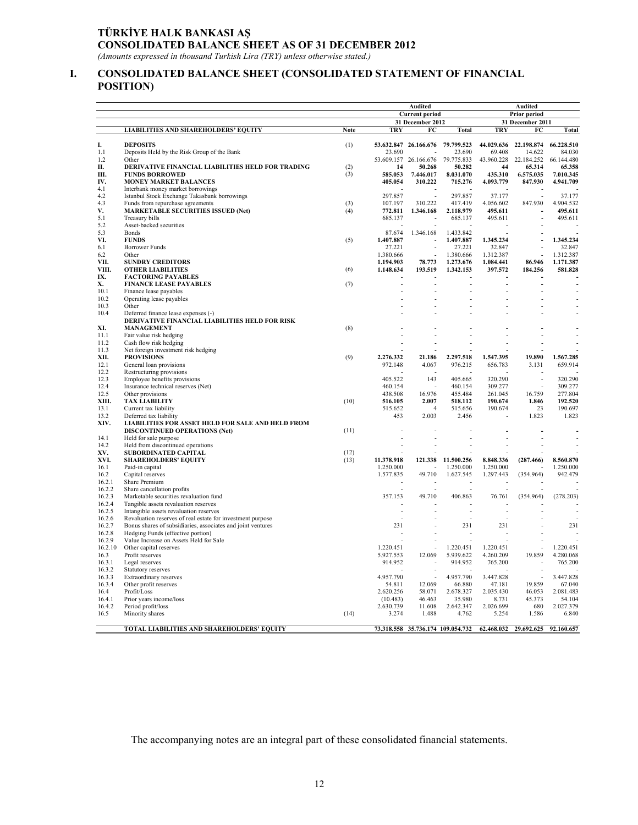## **TÜRKİYE HALK BANKASI AŞ CONSOLIDATED BALANCE SHEET AS OF 31 DECEMBER 2012**

*(Amounts expressed in thousand Turkish Lira (TRY) unless otherwise stated.)* 

#### **I. CONSOLIDATED BALANCE SHEET (CONSOLIDATED STATEMENT OF FINANCIAL POSITION)**

|                  |                                                                                                      |             |                       | Audited                           |                      | Audited              |                          |                      |  |  |  |
|------------------|------------------------------------------------------------------------------------------------------|-------------|-----------------------|-----------------------------------|----------------------|----------------------|--------------------------|----------------------|--|--|--|
|                  |                                                                                                      |             | <b>Current period</b> |                                   |                      | Prior period         |                          |                      |  |  |  |
|                  |                                                                                                      |             | 31 December 2012      |                                   |                      | 31 December 2011     |                          |                      |  |  |  |
|                  | <b>LIABILITIES AND SHAREHOLDERS' EQUITY</b>                                                          | <b>Note</b> | TRY                   | FC                                | Total                | TRY                  | FC                       | Total                |  |  |  |
| I.               | <b>DEPOSITS</b>                                                                                      | (1)         |                       | 53.632.847 26.166.676 79.799.523  |                      | 44.029.636           | 22.198.874               | 66.228.510           |  |  |  |
| 1.1<br>1.2       | Deposits Held by the Risk Group of the Bank<br>Other                                                 |             | 23.690                | 53.609.157 26.166.676             | 23.690<br>79.775.833 | 69.408<br>43.960.228 | 14.622<br>22.184.252     | 84.030<br>66.144.480 |  |  |  |
| П.               | DERIVATIVE FINANCIAL LIABILITIES HELD FOR TRADING                                                    | (2)         | 14                    | 50.268                            | 50.282               | 44                   | 65.314                   | 65.358               |  |  |  |
| Ш.               | <b>FUNDS BORROWED</b>                                                                                | (3)         | 585.053               | 7.446.017                         | 8.031.070            | 435.310              | 6.575.035                | 7.010.345            |  |  |  |
| IV.              | <b>MONEY MARKET BALANCES</b>                                                                         |             | 405.054               | 310.222                           | 715,276              | 4.093.779            | 847.930                  | 4.941.709            |  |  |  |
| 4.1              | Interbank money market borrowings                                                                    |             |                       |                                   |                      |                      |                          |                      |  |  |  |
| 4.2              | Istanbul Stock Exchange Takasbank borrowings                                                         |             | 297.857               | $\overline{a}$                    | 297.857              | 37.177               | $\overline{\phantom{a}}$ | 37.177               |  |  |  |
| 4.3              | Funds from repurchase agreements                                                                     | (3)         | 107.197               | 310.222                           | 417.419              | 4.056.602            | 847.930                  | 4.904.532            |  |  |  |
| V.               | <b>MARKETABLE SECURITIES ISSUED (Net)</b>                                                            | (4)         | 772.811               | 1.346.168                         | 2.118.979            | 495.611              |                          | 495.611              |  |  |  |
| 5.1<br>5.2       | Treasury bills<br>Asset-backed securities                                                            |             | 685.137               |                                   | 685.137              | 495.611              |                          | 495.611              |  |  |  |
| 5.3              | <b>Bonds</b>                                                                                         |             | 87.674                | 1.346.168                         | 1.433.842            |                      |                          |                      |  |  |  |
| VI.              | <b>FUNDS</b>                                                                                         | (5)         | 1.407.887             |                                   | 1.407.887            | 1.345.234            |                          | 1.345.234            |  |  |  |
| 6.1              | <b>Borrower Funds</b>                                                                                |             | 27.221                |                                   | 27.221               | 32.847               |                          | 32.847               |  |  |  |
| 6.2              | Other                                                                                                |             | 1.380.666             |                                   | 1.380.666            | 1.312.387            |                          | 1.312.387            |  |  |  |
| VII.             | <b>SUNDRY CREDITORS</b>                                                                              |             | 1.194.903             | 78.773                            | 1.273.676            | 1.084.441            | 86.946                   | 1,171,387            |  |  |  |
| VIII.            | <b>OTHER LIABILITIES</b>                                                                             | (6)         | 1.148.634             | 193.519                           | 1.342.153            | 397.572              | 184,256                  | 581.828              |  |  |  |
| IX.              | <b>FACTORING PAYABLES</b>                                                                            |             |                       |                                   |                      |                      |                          |                      |  |  |  |
| Х.               | <b>FINANCE LEASE PAYABLES</b>                                                                        | (7)         | Ĭ.                    |                                   | Ĭ.                   |                      | $\overline{a}$           | $\overline{a}$       |  |  |  |
| 10.1             | Finance lease payables                                                                               |             | Ĭ.                    |                                   |                      |                      |                          |                      |  |  |  |
| 10.2<br>10.3     | Operating lease payables<br>Other                                                                    |             |                       |                                   |                      |                      |                          |                      |  |  |  |
| 10.4             | Deferred finance lease expenses (-)                                                                  |             |                       |                                   |                      |                      |                          |                      |  |  |  |
|                  | DERIVATIVE FINANCIAL LIABILITIES HELD FOR RISK                                                       |             |                       |                                   |                      |                      |                          |                      |  |  |  |
| XI.              | <b>MANAGEMENT</b>                                                                                    | (8)         |                       |                                   |                      |                      |                          |                      |  |  |  |
| 11.1             | Fair value risk hedging                                                                              |             |                       |                                   |                      |                      |                          |                      |  |  |  |
| 11.2             | Cash flow risk hedging                                                                               |             |                       |                                   |                      |                      |                          |                      |  |  |  |
| 11.3             | Net foreign investment risk hedging                                                                  |             |                       |                                   |                      |                      |                          |                      |  |  |  |
| XII.             | <b>PROVISIONS</b>                                                                                    | (9)         | 2.276.332             | 21.186                            | 2.297.518            | 1.547.395            | 19.890                   | 1.567.285            |  |  |  |
| 12.1             | General loan provisions                                                                              |             | 972.148               | 4.067                             | 976.215              | 656.783              | 3.131                    | 659.914              |  |  |  |
| 12.2<br>12.3     | Restructuring provisions                                                                             |             | 405.522               | 143                               | 405.665              | 320.290              | $\overline{a}$           | 320.290              |  |  |  |
| 12.4             | Employee benefits provisions<br>Insurance technical reserves (Net)                                   |             | 460.154               |                                   | 460.154              | 309.277              |                          | 309.277              |  |  |  |
| 12.5             | Other provisions                                                                                     |             | 438.508               | 16.976                            | 455.484              | 261.045              | 16.759                   | 277.804              |  |  |  |
| XIII.            | <b>TAX LIABILITY</b>                                                                                 | (10)        | 516.105               | 2.007                             | 518.112              | 190.674              | 1.846                    | 192.520              |  |  |  |
| 13.1             | Current tax liability                                                                                |             | 515.652               | $\overline{4}$                    | 515.656              | 190.674              | 23                       | 190.697              |  |  |  |
| 13.2             | Deferred tax liability                                                                               |             | 453                   | 2.003                             | 2.456                |                      | 1.823                    | 1.823                |  |  |  |
| XIV.             | LIABILITIES FOR ASSET HELD FOR SALE AND HELD FROM                                                    |             |                       |                                   |                      |                      |                          |                      |  |  |  |
|                  | <b>DISCONTINUED OPERATIONS (Net)</b>                                                                 | (11)        |                       |                                   |                      |                      |                          |                      |  |  |  |
| 14.1             | Held for sale purpose                                                                                |             | L,                    |                                   | ÷.                   |                      |                          |                      |  |  |  |
| 14.2<br>XV.      | Held from discontinued operations<br><b>SUBORDINATED CAPITAL</b>                                     | (12)        |                       |                                   |                      |                      |                          |                      |  |  |  |
| XVI.             | <b>SHAREHOLDERS' EQUITY</b>                                                                          | (13)        | 11.378.918            | 121.338                           | 11.500.256           | 8.848.336            | (287.466)                | 8.560.870            |  |  |  |
| 16.1             | Paid-in capital                                                                                      |             | 1.250.000             |                                   | 1.250.000            | 1.250.000            |                          | 1.250.000            |  |  |  |
| 16.2             | Capital reserves                                                                                     |             | 1.577.835             | 49.710                            | 1.627.545            | 1.297.443            | (354.964)                | 942.479              |  |  |  |
| 16.2.1           | Share Premium                                                                                        |             |                       |                                   |                      |                      |                          |                      |  |  |  |
| 16.2.2           | Share cancellation profits                                                                           |             |                       |                                   |                      |                      |                          |                      |  |  |  |
| 16.2.3           | Marketable securities revaluation fund                                                               |             | 357.153               | 49.710                            | 406.863              | 76.761               | (354.964)                | (278.203)            |  |  |  |
| 16.2.4           | Tangible assets revaluation reserves                                                                 |             |                       |                                   |                      |                      |                          |                      |  |  |  |
| 16.2.5           | Intangible assets revaluation reserves<br>Revaluation reserves of real estate for investment purpose |             | J.                    |                                   | $\overline{a}$       |                      |                          |                      |  |  |  |
| 16.2.6<br>16.2.7 | Bonus shares of subsidiaries, associates and joint ventures                                          |             | 231                   |                                   | 231                  | 231                  |                          | 231                  |  |  |  |
| 16.2.8           | Hedging Funds (effective portion)                                                                    |             |                       |                                   |                      |                      |                          |                      |  |  |  |
| 16.2.9           | Value Increase on Assets Held for Sale                                                               |             |                       |                                   |                      |                      |                          |                      |  |  |  |
| 16.2.10          | Other capital reserves                                                                               |             | 1.220.451             |                                   | 1.220.451            | 1.220.451            | $\overline{a}$           | 1.220.451            |  |  |  |
| 16.3             | Profit reserves                                                                                      |             | 5.927.553             | 12.069                            | 5.939.622            | 4.260.209            | 19.859                   | 4.280.068            |  |  |  |
| 16.3.1           | Legal reserves                                                                                       |             | 914.952               |                                   | 914.952              | 765.200              |                          | 765.200              |  |  |  |
| 16.3.2           | Statutory reserves                                                                                   |             |                       |                                   |                      |                      |                          |                      |  |  |  |
| 16.3.3           | Extraordinary reserves                                                                               |             | 4.957.790             | $\overline{a}$                    | 4.957.790            | 3.447.828            | $\overline{a}$           | 3.447.828            |  |  |  |
| 16.3.4           | Other profit reserves                                                                                |             | 54.811                | 12.069                            | 66.880               | 47.181               | 19.859                   | 67.040               |  |  |  |
| 16.4<br>16.4.1   | Profit/Loss<br>Prior years income/loss                                                               |             | 2.620.256<br>(10.483) | 58.071<br>46.463                  | 2.678.327<br>35.980  | 2.035.430<br>8.731   | 46.053<br>45.373         | 2.081.483<br>54.104  |  |  |  |
| 16.4.2           | Period profit/loss                                                                                   |             | 2.630.739             | 11.608                            | 2.642.347            | 2.026.699            | 680                      | 2.027.379            |  |  |  |
| 16.5             | Minority shares                                                                                      | (14)        | 3.274                 | 1.488                             | 4.762                | 5.254                | 1.586                    | 6.840                |  |  |  |
|                  |                                                                                                      |             |                       |                                   |                      |                      |                          |                      |  |  |  |
|                  | TOTAL LIABILITIES AND SHAREHOLDERS' EQUITY                                                           |             |                       | 73.318.558 35.736.174 109.054.732 |                      | 62.468.032           | 29.692.625               | 92.160.657           |  |  |  |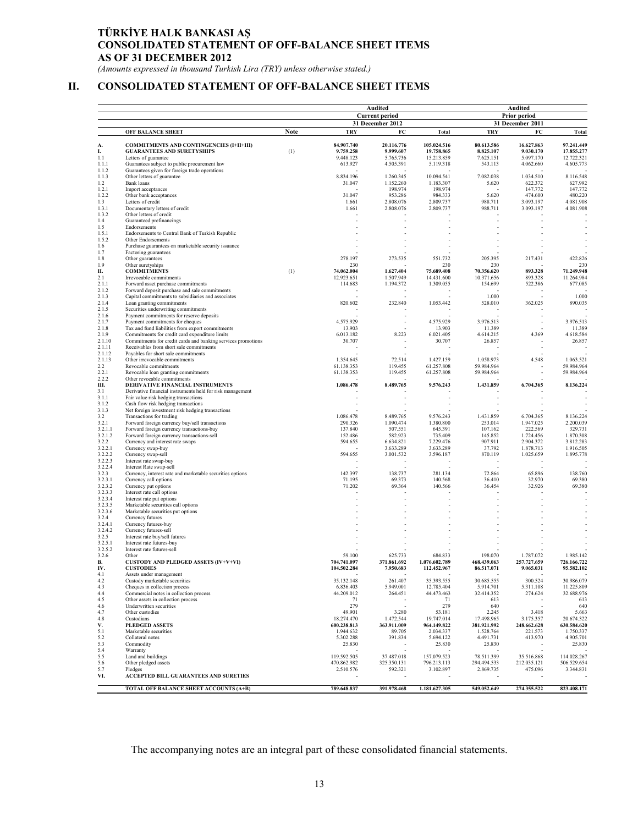## **TÜRKİYE HALK BANKASI AŞ CONSOLIDATED STATEMENT OF OFF-BALANCE SHEET ITEMS AS OF 31 DECEMBER 2012**

*(Amounts expressed in thousand Turkish Lira (TRY) unless otherwise stated.)* 

## **II. CONSOLIDATED STATEMENT OF OFF-BALANCE SHEET ITEMS**

|                    |                                                                                      |             | Audited                 | Audited                             |                          |                         |                        |                          |  |  |  |
|--------------------|--------------------------------------------------------------------------------------|-------------|-------------------------|-------------------------------------|--------------------------|-------------------------|------------------------|--------------------------|--|--|--|
|                    |                                                                                      |             | <b>Current period</b>   |                                     |                          | Prior period            |                        |                          |  |  |  |
|                    |                                                                                      | <b>Note</b> |                         | 31 December 2012                    |                          |                         | 31 December 2011       |                          |  |  |  |
|                    | OFF BALANCE SHEET                                                                    |             | <b>TRY</b>              | FC                                  | <b>Total</b>             | <b>TRY</b>              | FC                     | Total                    |  |  |  |
| А.                 | <b>COMMITMENTS AND CONTINGENCIES (I+II+III)</b>                                      |             | 84.907.740              | 20.116.776                          | 105.024.516              | 80.613.586              | 16.627.863             | 97.241.449               |  |  |  |
| I.<br>1.1          | <b>GUARANTEES AND SURETYSHIPS</b><br>Letters of guarantee                            | (1)         | 9.759.258<br>9.448.123  | 9.999.607<br>5.765.736              | 19.758.865<br>15.213.859 | 8.825.107<br>7.625.151  | 9.030.170<br>5.097.170 | 17.855.277<br>12.722.321 |  |  |  |
| 1.1.1              | Guarantees subject to public procurement law                                         |             | 613.927                 | 4.505.391                           | 5.119.318                | 543.113                 | 4.062.660              | 4.605.773                |  |  |  |
| 1.1.2              | Guarantees given for foreign trade operations                                        |             |                         |                                     |                          |                         |                        |                          |  |  |  |
| 1.1.3              | Other letters of guarantee                                                           |             | 8.834.196               | 1.260.345                           | 10.094.541               | 7.082.038               | 1.034.510              | 8.116.548                |  |  |  |
| 1.2<br>1.2.1       | Bank loans<br>Import acceptances                                                     |             | 31.047                  | 1.152.260<br>198.974                | 1.183.307<br>198.974     | 5.620                   | 622.372<br>147.772     | 627.992<br>147.772       |  |  |  |
| 1.2.2              | Other bank acceptances                                                               |             | 31.047                  | 953.286                             | 984.333                  | 5.620                   | 474.600                | 480.220                  |  |  |  |
| 1.3                | Letters of credit                                                                    |             | 1.661                   | 2.808.076                           | 2.809.737                | 988.711                 | 3.093.197              | 4.081.908                |  |  |  |
| 1.3.1<br>1.3.2     | Documentary letters of credit<br>Other letters of credit                             |             | 1.661                   | 2.808.076                           | 2.809.737                | 988.711                 | 3.093.197              | 4.081.908                |  |  |  |
| 1.4                | Guaranteed prefinancings                                                             |             |                         |                                     |                          |                         |                        |                          |  |  |  |
| 1.5                | Endorsements                                                                         |             |                         |                                     |                          |                         |                        |                          |  |  |  |
| 1.5.1              | Endorsements to Central Bank of Turkish Republic                                     |             |                         |                                     |                          |                         |                        |                          |  |  |  |
| 1.5.2<br>1.6       | Other Endorsements<br>Purchase guarantees on marketable security issuance            |             |                         |                                     |                          |                         |                        |                          |  |  |  |
| 1.7                | Factoring guarantees                                                                 |             |                         |                                     |                          |                         |                        |                          |  |  |  |
| 1.8                | Other guarantees                                                                     |             | 278.197                 | 273.535                             | 551.732                  | 205.395                 | 217.431                | 422.826                  |  |  |  |
| 1.9<br>П.          | Other suretyships<br><b>COMMITMENTS</b>                                              | (1)         | 230<br>74.062.004       | 1.627.404                           | 230<br>75.689.408        | 230<br>70.356.620       | 893.328                | 230<br>71.249.948        |  |  |  |
| 2.1                | Irrevocable commitments                                                              |             | 12.923.651              | 1.507.949                           | 14.431.600               | 10.371.656              | 893.328                | 11.264.984               |  |  |  |
| 2.1.1              | Forward asset purchase commitments                                                   |             | 114.683                 | 1.194.372                           | 1.309.055                | 154.699                 | 522.386                | 677.085                  |  |  |  |
| 2.1.2<br>2.1.3     | Forward deposit purchase and sale commitments                                        |             |                         |                                     |                          | 1.000                   |                        | 1.000                    |  |  |  |
| 2.1.4              | Capital commitments to subsidiaries and associates<br>Loan granting commitments      |             | 820.602                 | 232.840                             | 1.053.442                | 528.010                 | 362.025                | 890.035                  |  |  |  |
| 2.1.5              | Securities underwriting commitments                                                  |             |                         |                                     |                          |                         |                        |                          |  |  |  |
| 2.1.6              | Payment commitments for reserve deposits                                             |             |                         |                                     |                          |                         |                        |                          |  |  |  |
| 2.1.7<br>2.1.8     | Payment commitments for cheques<br>Tax and fund liabilities from export commitments  |             | 4.575.929<br>13.903     |                                     | 4.575.929<br>13.903      | 3.976.513<br>11.389     |                        | 3.976.513<br>11.389      |  |  |  |
| 2.1.9              | Commitments for credit card expenditure limits                                       |             | 6.013.182               | 8.223                               | 6.021.405                | 4.614.215               | 4.369                  | 4.618.584                |  |  |  |
| 2.1.10             | Commitments for credit cards and banking services promotions                         |             | 30.707                  |                                     | 30.707                   | 26.857                  |                        | 26.857                   |  |  |  |
| 2.1.11             | Receivables from short sale commitments                                              |             |                         |                                     |                          |                         |                        |                          |  |  |  |
| 2.1.12<br>2.1.13   | Payables for short sale commitments<br>Other irrevocable commitments                 |             | 1.354.645               | 72.514                              | 1.427.159                | 1.058.973               | 4.548                  | 1.063.521                |  |  |  |
| $2.2\,$            | Revocable commitments                                                                |             | 61.138.353              | 119.455                             | 61.257.808               | 59.984.964              |                        | 59.984.964               |  |  |  |
| 2.2.1              | Revocable loan granting commitments                                                  |             | 61.138.353              | 119.455                             | 61.257.808               | 59.984.964              |                        | 59.984.964               |  |  |  |
| 2.2.2<br>Ш.        | Other revocable commitments<br>DERIVATIVE FINANCIAL INSTRUMENTS                      |             | 1.086.478               | 8.489.765                           | 9.576.243                | 1.431.859               | 6.704.365              | 8.136.224                |  |  |  |
| 3.1                | Derivative financial instruments held for risk management                            |             |                         |                                     |                          |                         |                        |                          |  |  |  |
| 3.1.1              | Fair value risk hedging transactions                                                 |             |                         |                                     |                          |                         |                        |                          |  |  |  |
| 3.1.2              | Cash flow risk hedging transactions                                                  |             |                         |                                     |                          |                         |                        |                          |  |  |  |
| 3.1.3<br>3.2       | Net foreign investment risk hedging transactions<br>Transactions for trading         |             | 1.086.478               | 8.489.765                           | 9.576.243                | 1.431.859               | 6.704.365              | 8.136.224                |  |  |  |
| 3.2.1              | Forward foreign currency buy/sell transactions                                       |             | 290.326                 | 1.090.474                           | 1.380.800                | 253.014                 | 1.947.025              | 2.200.039                |  |  |  |
| 3.2.1.1            | Forward foreign currency transactions-buy                                            |             | 137.840                 | 507.551                             | 645.391                  | 107.162                 | 222.569                | 329.731                  |  |  |  |
| 3.2.1.2<br>3.2.2   | Forward foreign currency transactions-sell<br>Currency and interest rate swaps       |             | 152.486<br>594.655      | 582.923<br>6.634.821                | 735.409<br>7.229.476     | 145.852<br>907.911      | 1.724.456<br>2.904.372 | 1.870.308<br>3.812.283   |  |  |  |
| 3.2.2.1            | Currency swap-buy                                                                    |             |                         | 3.633.289                           | 3.633.289                | 37.792                  | 1.878.713              | 1.916.505                |  |  |  |
| 3.2.2.2            | Currency swap-sell                                                                   |             | 594.655                 | 3.001.532                           | 3.596.187                | 870.119                 | 1.025.659              | 1.895.778                |  |  |  |
| 3.2.2.3            | Interest rate swap-buy                                                               |             |                         |                                     |                          |                         |                        |                          |  |  |  |
| 3.2.2.4<br>3.2.3   | Interest Rate swap-sell<br>Currency, interest rate and marketable securities options |             | 142.397                 | 138.737                             | 281.134                  | 72.864                  | 65.896                 | 138.760                  |  |  |  |
| 3.2.3.1            | Currency call options                                                                |             | 71.195                  | 69.373                              | 140.568                  | 36.410                  | 32.970                 | 69.380                   |  |  |  |
| 3.2.3.2            | Currency put options                                                                 |             | 71.202                  | 69.364                              | 140.566                  | 36.454                  | 32.926                 | 69.380                   |  |  |  |
| 3.2.3.3            | Interest rate call options                                                           |             |                         |                                     |                          |                         |                        |                          |  |  |  |
| 3.2.3.4<br>3.2.3.5 | Interest rate put options<br>Marketable securities call options                      |             |                         |                                     |                          |                         |                        |                          |  |  |  |
| 3.2.3.6            | Marketable securities put options                                                    |             |                         |                                     |                          |                         |                        |                          |  |  |  |
| 3.2.4              | Currency futures                                                                     |             |                         |                                     |                          |                         |                        |                          |  |  |  |
| 3.2.4.1<br>3.2.4.2 | Currency futures-buy<br>Currency futures-sell                                        |             |                         |                                     |                          |                         |                        |                          |  |  |  |
| 3.2.5              | Interest rate buy/sell futures                                                       |             |                         |                                     |                          |                         |                        |                          |  |  |  |
| 3.2.5.1            | Interest rate futures-buy                                                            |             |                         |                                     |                          |                         |                        |                          |  |  |  |
| 3.2.5.2<br>3.2.6   | Interest rate futures-sell<br>Other                                                  |             | 59.100                  | 625.733                             | 684.833                  | 198.070                 | 1.787.072              | 1.985.142                |  |  |  |
| В.                 | <b>CUSTODY AND PLEDGED ASSETS (IV+V+VI)</b>                                          |             | 704.741.097             | 371.861.692                         | 1.076.602.789            | 468.439.063             | 257,727.659            | 726.166.722              |  |  |  |
| IV                 | <b>CUSTODIES</b>                                                                     |             | 104.502.284             | 7.950.683                           | 112.452.967              | 86.517.071              | 9.065.031              | 95.582.102               |  |  |  |
| 4.1                | Assets under management                                                              |             |                         |                                     |                          |                         |                        |                          |  |  |  |
| 4.2<br>4.3         | Custody marketable securities<br>Cheques in collection process                       |             | 35.132.148<br>6.836.403 | 261.407<br>5.949.001                | 35.393.555<br>12.785.404 | 30.685.555<br>5.914.701 | 300.524<br>5.311.108   | 30.986.079<br>11.225.809 |  |  |  |
| 4.4                | Commercial notes in collection process                                               |             | 44.209.012              | 264.451                             | 44.473.463               | 32.414.352              | 274.624                | 32.688.976               |  |  |  |
| 4.5                | Other assets in collection process                                                   |             | 71                      |                                     | 71                       | 613                     |                        | 613                      |  |  |  |
| 4.6                | Underwritten securities<br>Other custodies                                           |             | 279                     |                                     | 279                      | 640                     |                        | 640                      |  |  |  |
| 4.7<br>4.8         | Custodians                                                                           |             | 49.901<br>18.274.470    | 3.280<br>1.472.544                  | 53.181<br>19.747.014     | 2.245<br>17.498.965     | 3.418<br>3.175.357     | 5.663<br>20.674.322      |  |  |  |
| V.                 | <b>PLEDGED ASSETS</b>                                                                |             | 600.238.813             | 363.911.009                         | 964.149.822              | 381.921.992             | 248.662.628            | 630.584.620              |  |  |  |
| 5.1                | Marketable securities                                                                |             | 1.944.632               | 89.705                              | 2.034.337                | 1.528.764               | 221.573                | 1.750.337                |  |  |  |
| 5.2                | Collateral notes<br>Commodity                                                        |             | 5.302.288<br>25.830     | 391.834<br>$\overline{\phantom{a}}$ | 5.694.122<br>25.830      | 4.491.731               | 413.970                | 4.905.701<br>25.830      |  |  |  |
| 5.3<br>5.4         | Warranty                                                                             |             |                         |                                     |                          | 25.830                  |                        |                          |  |  |  |
| 5.5                | Land and buildings                                                                   |             | 119.592.505             | 37.487.018                          | 157.079.523              | 78.511.399              | 35.516.868             | 114.028.267              |  |  |  |
| 5.6                | Other pledged assets                                                                 |             | 470.862.982             | 325.350.131                         | 796.213.113              | 294.494.533             | 212.035.121            | 506.529.654              |  |  |  |
| 5.7<br>VI.         | Pledges<br><b>ACCEPTED BILL GUARANTEES AND SURETIES</b>                              |             | 2.510.576               | 592.321                             | 3.102.897                | 2.869.735               | 475.096                | 3.344.831                |  |  |  |
|                    |                                                                                      |             |                         |                                     |                          |                         |                        |                          |  |  |  |
|                    | TOTAL OFF BALANCE SHEET ACCOUNTS (A+B)                                               |             | 789.648.837             | 391.978.468                         | 1.181.627.305            | 549.052.649             | 274.355.522            | 823.408.171              |  |  |  |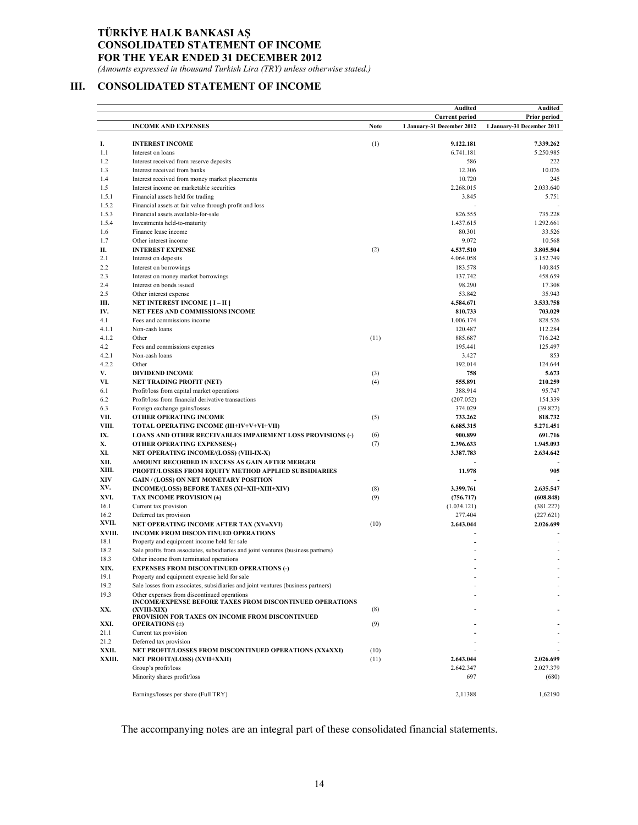### **TÜRKİYE HALK BANKASI AŞ CONSOLIDATED STATEMENT OF INCOME FOR THE YEAR ENDED 31 DECEMBER 2012**

*(Amounts expressed in thousand Turkish Lira (TRY) unless otherwise stated.)* 

# **III. CONSOLIDATED STATEMENT OF INCOME**

|        |                                                                                   |      | Audited                    | Audited                    |
|--------|-----------------------------------------------------------------------------------|------|----------------------------|----------------------------|
|        |                                                                                   |      | <b>Current period</b>      | Prior period               |
|        | <b>INCOME AND EXPENSES</b>                                                        | Note | 1 January-31 December 2012 | 1 January-31 December 2011 |
|        |                                                                                   |      |                            |                            |
| I.     | <b>INTEREST INCOME</b>                                                            | (1)  | 9.122.181                  | 7.339.262                  |
| 1.1    | Interest on loans                                                                 |      | 6.741.181                  | 5.250.985                  |
| 1.2    | Interest received from reserve deposits                                           |      | 586                        | 222                        |
| 1.3    | Interest received from banks                                                      |      | 12.306                     | 10.076                     |
| 1.4    | Interest received from money market placements                                    |      | 10.720                     | 245                        |
| 1.5    | Interest income on marketable securities                                          |      | 2.268.015                  | 2.033.640                  |
| 1.5.1  | Financial assets held for trading                                                 |      | 3.845                      | 5.751                      |
| 1.5.2  | Financial assets at fair value through profit and loss                            |      |                            |                            |
| 1.5.3  | Financial assets available-for-sale                                               |      | 826.555                    | 735.228                    |
| 1.5.4  | Investments held-to-maturity                                                      |      | 1.437.615                  | 1.292.661                  |
| 1.6    | Finance lease income                                                              |      | 80.301                     | 33.526                     |
| 1.7    | Other interest income                                                             |      | 9.072                      | 10.568                     |
| П.     | <b>INTEREST EXPENSE</b>                                                           | (2)  | 4.537.510                  | 3.805.504                  |
| 2.1    | Interest on deposits                                                              |      | 4.064.058                  | 3.152.749                  |
| 2.2    |                                                                                   |      |                            | 140.845                    |
| 2.3    | Interest on borrowings                                                            |      | 183.578<br>137.742         | 458.659                    |
| 2.4    | Interest on money market borrowings                                               |      | 98.290                     |                            |
|        | Interest on bonds issued                                                          |      |                            | 17.308                     |
| 2.5    | Other interest expense                                                            |      | 53.842                     | 35.943                     |
| Ш.     | <b>NET INTEREST INCOME [ I – II ]</b>                                             |      | 4.584.671                  | 3.533.758                  |
| IV.    | NET FEES AND COMMISSIONS INCOME                                                   |      | 810.733                    | 703.029                    |
| 4.1    | Fees and commissions income                                                       |      | 1.006.174                  | 828.526                    |
| 4.1.1  | Non-cash loans                                                                    |      | 120.487                    | 112.284                    |
| 4.1.2  | Other                                                                             | (11) | 885.687                    | 716.242                    |
| 4.2    | Fees and commissions expenses                                                     |      | 195.441                    | 125.497                    |
| 4.2.1  | Non-cash loans                                                                    |      | 3.427                      | 853                        |
| 4.2.2  | Other                                                                             |      | 192.014                    | 124.644                    |
| V.     | <b>DIVIDEND INCOME</b>                                                            | (3)  | 758                        | 5.673                      |
| VI.    | <b>NET TRADING PROFIT (NET)</b>                                                   | (4)  | 555.891                    | 210,259                    |
| 6.1    | Profit/loss from capital market operations                                        |      | 388.914                    | 95.747                     |
| 6.2    | Profit/loss from financial derivative transactions                                |      | (207.052)                  | 154.339                    |
| 6.3    | Foreign exchange gains/losses                                                     |      | 374.029                    | (39.827)                   |
| VII.   | OTHER OPERATING INCOME                                                            | (5)  | 733.262                    | 818.732                    |
| VIII.  | TOTAL OPERATING INCOME (III+IV+V+VI+VII)                                          |      | 6.685.315                  | 5.271.451                  |
| IX.    | <b>LOANS AND OTHER RECEIVABLES IMPAIRMENT LOSS PROVISIONS (-)</b>                 | (6)  | 900.899                    | 691.716                    |
| Х.     | OTHER OPERATING EXPENSES(-)                                                       | (7)  | 2.396.633                  | 1.945.093                  |
| XI.    | NET OPERATING INCOME/(LOSS) (VIII-IX-X)                                           |      | 3.387.783                  | 2.634.642                  |
| XII.   | AMOUNT RECORDED IN EXCESS AS GAIN AFTER MERGER                                    |      |                            |                            |
| XIII.  | PROFIT/LOSSES FROM EQUITY METHOD APPLIED SUBSIDIARIES                             |      | 11.978                     | 905                        |
| XIV    | <b>GAIN / (LOSS) ON NET MONETARY POSITION</b>                                     |      |                            |                            |
| XV.    | INCOME/(LOSS) BEFORE TAXES (XI+XII+XIII+XIV)                                      | (8)  | 3.399.761                  | 2.635.547                  |
| XVI.   | TAX INCOME PROVISION (±)                                                          | (9)  | (756.717)                  | (608.848)                  |
| 16.1   | Current tax provision                                                             |      | (1.034.121)                | (381.227)                  |
| 16.2   | Deferred tax provision                                                            |      | 277.404                    | (227.621)                  |
| XVII.  | NET OPERATING INCOME AFTER TAX (XV±XVI)                                           | (10) | 2.643.044                  | 2.026.699                  |
| XVIII. | <b>INCOME FROM DISCONTINUED OPERATIONS</b>                                        |      |                            |                            |
| 18.1   | Property and equipment income held for sale                                       |      |                            |                            |
| 18.2   | Sale profits from associates, subsidiaries and joint ventures (business partners) |      |                            |                            |
| 18.3   | Other income from terminated operations                                           |      |                            |                            |
| XIX.   | <b>EXPENSES FROM DISCONTINUED OPERATIONS (-)</b>                                  |      |                            |                            |
| 19.1   | Property and equipment expense held for sale                                      |      |                            |                            |
| 19.2   | Sale losses from associates, subsidiaries and joint ventures (business partners)  |      |                            |                            |
| 19.3   | Other expenses from discontinued operations                                       |      |                            |                            |
|        | <b>INCOME/EXPENSE BEFORE TAXES FROM DISCONTINUED OPERATIONS</b>                   |      |                            |                            |
| XX.    | (XVIII-XIX)                                                                       | (8)  |                            |                            |
|        | PROVISION FOR TAXES ON INCOME FROM DISCONTINUED                                   |      |                            |                            |
| XXI.   | <b>OPERATIONS</b> (±)                                                             | (9)  |                            |                            |
| 21.1   | Current tax provision                                                             |      |                            |                            |
| 21.2   | Deferred tax provision                                                            |      |                            |                            |
| XXII.  | NET PROFIT/LOSSES FROM DISCONTINUED OPERATIONS (XX±XXI)                           | (10) |                            |                            |
| XXIII. | NET PROFIT/(LOSS) (XVII+XXII)                                                     | (11) | 2.643.044                  | 2.026.699                  |
|        | Group's profit/loss                                                               |      | 2.642.347                  | 2.027.379                  |
|        | Minority shares profit/loss                                                       |      | 697                        | (680)                      |
|        |                                                                                   |      |                            |                            |
|        | Earnings/losses per share (Full TRY)                                              |      | 2,11388                    | 1,62190                    |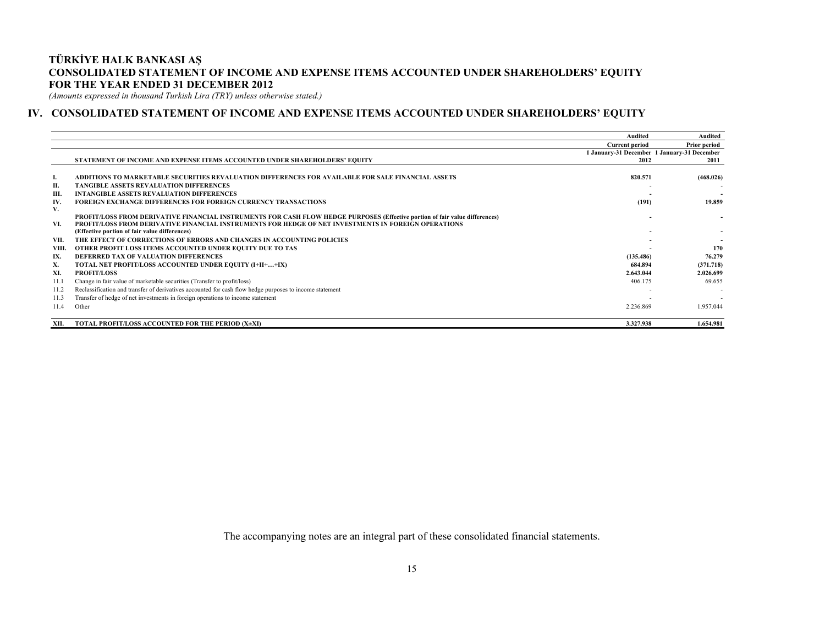### **TÜRKİYE HALK BANKASI AŞ CONSOLIDATED STATEMENT OF INCOME AND EXPENSE ITEMS ACCOUNTED UNDER SHAREHOLDERS' EQUITY FOR THE YEAR ENDED 31 DECEMBER 2012**

*(Amounts expressed in thousand Turkish Lira (TRY) unless otherwise stated.)* 

### **IV. CONSOLIDATED STATEMENT OF INCOME AND EXPENSE ITEMS ACCOUNTED UNDER SHAREHOLDERS' EQUITY**

|       |                                                                                                                              | <b>Audited</b>                              | Audited      |
|-------|------------------------------------------------------------------------------------------------------------------------------|---------------------------------------------|--------------|
|       |                                                                                                                              | <b>Current period</b>                       | Prior period |
|       |                                                                                                                              | 1 January-31 December 1 January-31 December |              |
|       | STATEMENT OF INCOME AND EXPENSE ITEMS ACCOUNTED UNDER SHAREHOLDERS' EOUITY                                                   | 2012                                        | 2011         |
| л.    | ADDITIONS TO MARKETABLE SECURITIES REVALUATION DIFFERENCES FOR AVAILABLE FOR SALE FINANCIAL ASSETS                           | 820.571                                     | (468.026)    |
| П.    | <b>TANGIBLE ASSETS REVALUATION DIFFERENCES</b>                                                                               |                                             |              |
| Ш.    | <b>INTANGIBLE ASSETS REVALUATION DIFFERENCES</b>                                                                             |                                             |              |
| IV.   | <b>FOREIGN EXCHANGE DIFFERENCES FOR FOREIGN CURRENCY TRANSACTIONS</b>                                                        | (191)                                       | 19.859       |
| V.    |                                                                                                                              |                                             |              |
|       | PROFIT/LOSS FROM DERIVATIVE FINANCIAL INSTRUMENTS FOR CASH FLOW HEDGE PURPOSES (Effective portion of fair value differences) |                                             |              |
| VI.   | PROFIT/LOSS FROM DERIVATIVE FINANCIAL INSTRUMENTS FOR HEDGE OF NET INVESTMENTS IN FOREIGN OPERATIONS                         |                                             |              |
|       | (Effective portion of fair value differences)                                                                                |                                             |              |
| VII.  | THE EFFECT OF CORRECTIONS OF ERRORS AND CHANGES IN ACCOUNTING POLICIES                                                       |                                             |              |
| VIII. | OTHER PROFIT LOSS ITEMS ACCOUNTED UNDER EQUITY DUE TO TAS                                                                    |                                             | 170          |
| IX.   | DEFERRED TAX OF VALUATION DIFFERENCES                                                                                        | (135.486)                                   | 76.279       |
| Х.    | <b>TOTAL NET PROFIT/LOSS ACCOUNTED UNDER EQUITY (I+II++IX)</b>                                                               | 684.894                                     | (371.718)    |
| XI.   | <b>PROFIT/LOSS</b>                                                                                                           | 2.643.044                                   | 2.026.699    |
| 11.1  | Change in fair value of marketable securities (Transfer to profit/loss)                                                      | 406.175                                     | 69.655       |
| 11.2  | Reclassification and transfer of derivatives accounted for cash flow hedge purposes to income statement                      |                                             |              |
| 11.3  | Transfer of hedge of net investments in foreign operations to income statement                                               |                                             |              |
| 11.4  | Other                                                                                                                        | 2.236.869                                   | 1.957.044    |
| XII.  | TOTAL PROFIT/LOSS ACCOUNTED FOR THE PERIOD (X±XI)                                                                            | 3.327.938                                   | 1.654.981    |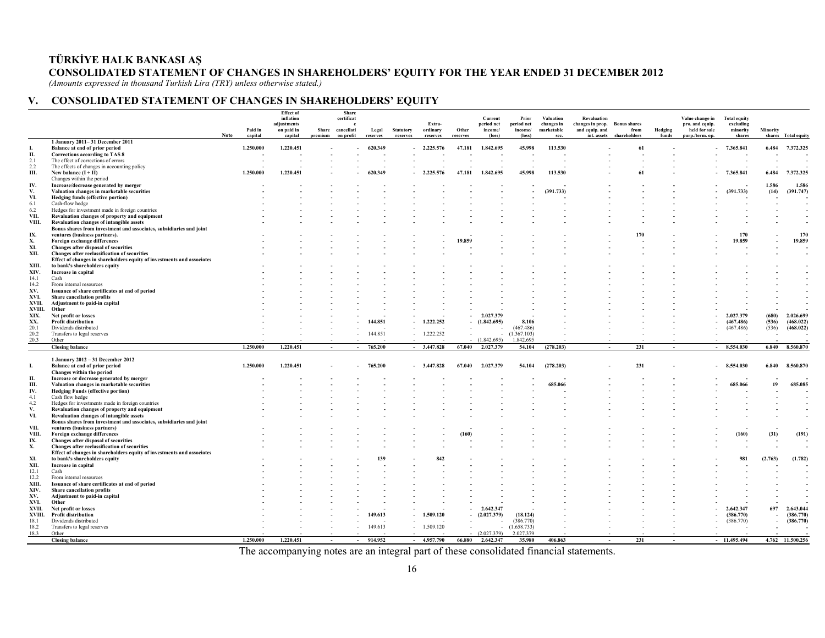## **TÜRKİYE HALK BANKASI AŞ CONSOLIDATED STATEMENT OF CHANGES IN SHAREHOLDERS' EQUITY FOR THE YEAR ENDED 31 DECEMBER 2012**

*(Amounts expressed in thousand Turkish Lira (TRY) unless otherwise stated.)* 

### **V. CONSOLIDATED STATEMENT OF CHANGES IN SHAREHOLDERS' EQUITY**

|                 |                                                                                                         |             | Paid in   | <b>Effect</b> of<br>inflation<br>adjustments<br>on paid in | Share   | Share<br>certificat<br>e<br>cancellati | Legal    | <b>Statutory</b> | Extra-<br>ordinary | Other    | Current<br>period net<br>income/ | Prior<br>period net<br>income/ | Valuation<br>changes in<br>marketable | <b>Revaluation</b><br>changes in prop.<br>and equip. and | <b>Bonus</b> shares<br>from | Hedging | Value change in<br>pro. and equip.<br>held for sale | <b>Total equity</b><br>excluding<br>minority | Minority |                        |
|-----------------|---------------------------------------------------------------------------------------------------------|-------------|-----------|------------------------------------------------------------|---------|----------------------------------------|----------|------------------|--------------------|----------|----------------------------------|--------------------------------|---------------------------------------|----------------------------------------------------------|-----------------------------|---------|-----------------------------------------------------|----------------------------------------------|----------|------------------------|
|                 | 1 January 2011-31 December 2011                                                                         | <b>Note</b> | capital   | capital                                                    | premium | on profit                              | reserves | reserves         | reserves           | reserves | (loss)                           | (loss)                         | sec.                                  | int. assets                                              | shareholders                | funds   | purp./term.op.                                      | shares                                       |          | shares Total equity    |
|                 | Balance at end of prior period                                                                          |             | 1.250.000 | 1.220.451                                                  |         |                                        | 620.349  |                  | 2.225.576          | 47.181   | 1.842.695                        | 45.998                         | 113.530                               |                                                          | 61                          |         |                                                     | 7.365.841                                    | 6.484    | 7.372.325              |
| П.              | <b>Corrections according to TAS 8</b>                                                                   |             |           |                                                            |         |                                        |          |                  |                    |          |                                  |                                |                                       |                                                          |                             |         |                                                     |                                              |          |                        |
| 2.1<br>2.2      | The effect of corrections of errors<br>The effects of changes in accounting policy                      |             |           |                                                            |         |                                        |          |                  |                    |          |                                  |                                |                                       |                                                          |                             |         |                                                     |                                              |          |                        |
| Ш.              | New balance $(I + II)$                                                                                  |             | 1.250.000 | 1.220.451                                                  |         |                                        | 620.349  |                  | 2.225.576          | 47.181   | 1.842.695                        | 45.998                         | 113.530                               |                                                          | 61                          |         |                                                     | 7.365.841                                    | 6.484    | 7.372.325              |
|                 | Changes within the period                                                                               |             |           |                                                            |         |                                        |          |                  |                    |          |                                  |                                |                                       |                                                          |                             |         |                                                     |                                              |          |                        |
| IV.             | Increase/decrease generated by merger                                                                   |             |           |                                                            |         |                                        |          |                  |                    |          |                                  |                                |                                       |                                                          |                             |         |                                                     |                                              | 1.586    | 1.586                  |
| V.              | Valuation changes in marketable securities                                                              |             |           |                                                            |         |                                        |          |                  |                    |          |                                  |                                | (391.733)                             |                                                          |                             |         |                                                     | (391.733)                                    | (14)     | (391.747)              |
| VI.             | Hedging funds (effective portion)                                                                       |             |           |                                                            |         |                                        |          |                  |                    |          |                                  |                                |                                       |                                                          |                             |         |                                                     |                                              |          |                        |
| 6.1             | Cash-flow hedge                                                                                         |             |           |                                                            |         |                                        |          |                  |                    |          |                                  |                                |                                       |                                                          |                             |         |                                                     |                                              |          |                        |
| 6.2<br>VII.     | Hedges for investment made in foreign countries<br>Revaluation changes of property and equipment        |             |           |                                                            |         |                                        |          |                  |                    |          |                                  |                                |                                       |                                                          |                             |         |                                                     |                                              |          |                        |
| VIII.           | Revaluation changes of intangible assets                                                                |             |           |                                                            |         |                                        |          |                  |                    |          |                                  |                                |                                       |                                                          |                             |         |                                                     |                                              |          |                        |
|                 | Bonus shares from investment and associates, subsidiaries and joint                                     |             |           |                                                            |         |                                        |          |                  |                    |          |                                  |                                |                                       |                                                          |                             |         |                                                     |                                              |          |                        |
| IX.             | ventures (business partners).                                                                           |             |           |                                                            |         |                                        |          |                  |                    |          |                                  |                                |                                       |                                                          | 170                         |         |                                                     | 170                                          |          | 170                    |
| Х.              | Foreign exchange differences                                                                            |             |           |                                                            |         |                                        |          |                  |                    | 19.859   |                                  |                                |                                       |                                                          |                             |         |                                                     | 19.859                                       |          | 19.859                 |
| XI.             | Changes after disposal of securities                                                                    |             |           |                                                            |         |                                        |          |                  |                    |          |                                  |                                |                                       |                                                          |                             |         |                                                     |                                              |          |                        |
| XII.            | Changes after reclassification of securities                                                            |             |           |                                                            |         |                                        |          |                  |                    |          |                                  |                                |                                       |                                                          |                             |         |                                                     |                                              |          |                        |
| XIII.           | Effect of changes in shareholders equity of investments and associates<br>to bank's shareholders equity |             |           |                                                            |         |                                        |          |                  |                    |          |                                  |                                |                                       |                                                          |                             |         |                                                     |                                              |          |                        |
| XIV.            | Increase in capital                                                                                     |             |           |                                                            |         |                                        |          |                  |                    |          |                                  |                                |                                       |                                                          |                             |         |                                                     |                                              |          |                        |
| 14.1            | Cash                                                                                                    |             |           |                                                            |         |                                        |          |                  |                    |          |                                  |                                |                                       |                                                          |                             |         |                                                     |                                              |          |                        |
| 14.2            | From internal resources                                                                                 |             |           |                                                            |         |                                        |          |                  |                    |          |                                  |                                |                                       |                                                          |                             |         |                                                     |                                              |          |                        |
| XV.             | Issuance of share certificates at end of period                                                         |             |           |                                                            |         |                                        |          |                  |                    |          |                                  |                                |                                       |                                                          |                             |         |                                                     |                                              |          |                        |
| XVI.            | <b>Share cancellation profits</b>                                                                       |             |           |                                                            |         |                                        |          |                  |                    |          |                                  |                                |                                       |                                                          |                             |         |                                                     |                                              |          |                        |
| XVII.           | Adjustment to paid-in capital                                                                           |             |           |                                                            |         |                                        |          |                  |                    |          |                                  |                                |                                       |                                                          |                             |         |                                                     |                                              |          |                        |
| XVIII.<br>XIX.  | Other<br>Net profit or losses                                                                           |             |           |                                                            |         |                                        |          |                  |                    |          | 2.027.379                        |                                |                                       |                                                          |                             |         |                                                     | 2.027.379                                    | (680)    | 2.026.699              |
| XX.             | Profit distribution                                                                                     |             |           |                                                            |         |                                        | 144.851  |                  | 1.222.252          |          | (1.842.695)                      | 8.106                          |                                       |                                                          |                             |         |                                                     | (467.486)                                    | (536)    | (468.022)              |
| 20.1            | Dividends distributed                                                                                   |             |           |                                                            |         |                                        |          |                  |                    |          |                                  | (467.486)                      |                                       |                                                          |                             |         |                                                     | (467.486)                                    | (536)    | (468.022)              |
| 20.2            | Transfers to legal reserves                                                                             |             |           |                                                            |         |                                        | 144.851  |                  | 1.222.252          |          |                                  | (1.367.103)                    |                                       |                                                          |                             |         |                                                     |                                              |          |                        |
| 20.3            | Other                                                                                                   |             |           |                                                            |         |                                        |          |                  |                    |          | (1.842.695)                      | 1.842.695                      |                                       |                                                          |                             |         |                                                     |                                              |          |                        |
|                 | <b>Closing balance</b>                                                                                  |             | 1.250.000 | 1.220.451                                                  |         | $\sim$                                 | 765.200  | $\sim$           | 3.447.828          | 67.040   | 2.027.379                        | 54.104                         | (278.203)                             |                                                          | 231                         | $\sim$  |                                                     | 8.554.030                                    | 6.840    | 8.560.870              |
|                 | 1 January 2012 - 31 December 2012                                                                       |             |           |                                                            |         |                                        |          |                  |                    |          |                                  |                                |                                       |                                                          |                             |         |                                                     |                                              |          |                        |
| L               | Balance at end of prior period                                                                          |             | 1.250.000 | 1.220.451                                                  |         |                                        | 765.200  |                  | $-3.447.828$       | 67.040   | 2.027.379                        | 54.104                         | (278.203)                             |                                                          | 231                         |         |                                                     | 8.554.030                                    | 6.840    | 8.560.870              |
|                 | Changes within the period                                                                               |             |           |                                                            |         |                                        |          |                  |                    |          |                                  |                                |                                       |                                                          |                             |         |                                                     |                                              |          |                        |
| П.              | Increase or decrease generated by merger                                                                |             |           |                                                            |         |                                        |          |                  |                    |          |                                  |                                |                                       |                                                          |                             |         |                                                     |                                              |          |                        |
| Ш.              | Valuation changes in marketable securities                                                              |             |           |                                                            |         |                                        |          |                  |                    |          |                                  |                                | 685.066                               |                                                          |                             |         |                                                     | 685.066                                      | 19       | 685.085                |
| IV.             | <b>Hedging Funds (effective portion)</b>                                                                |             |           |                                                            |         |                                        |          |                  |                    |          |                                  |                                |                                       |                                                          |                             |         |                                                     |                                              |          |                        |
| 4.1             | Cash flow hedge                                                                                         |             |           |                                                            |         |                                        |          |                  |                    |          |                                  |                                |                                       |                                                          |                             |         |                                                     |                                              |          |                        |
| 4.2<br>V.       | Hedges for investments made in foreign countries<br>Revaluation changes of property and equipment       |             |           |                                                            |         |                                        |          |                  |                    |          |                                  |                                |                                       |                                                          |                             |         |                                                     |                                              |          |                        |
| VI.             | Revaluation changes of intangible assets                                                                |             |           |                                                            |         |                                        |          |                  |                    |          |                                  |                                |                                       |                                                          |                             |         |                                                     |                                              |          |                        |
|                 | Bonus shares from investment and associates, subsidiaries and joint                                     |             |           |                                                            |         |                                        |          |                  |                    |          |                                  |                                |                                       |                                                          |                             |         |                                                     |                                              |          |                        |
| VII.            | ventures (business partners)                                                                            |             |           |                                                            |         |                                        |          |                  |                    |          |                                  |                                |                                       |                                                          |                             |         |                                                     |                                              |          |                        |
| VIII.           | Foreign exchange differences                                                                            |             |           |                                                            |         |                                        |          |                  |                    | (160)    |                                  |                                |                                       |                                                          |                             |         |                                                     | (160)                                        | (31)     | (191)                  |
| IX.             | Changes after disposal of securities                                                                    |             |           |                                                            |         |                                        |          |                  |                    |          |                                  |                                |                                       |                                                          |                             |         |                                                     |                                              |          |                        |
| Х.              | Changes after reclassification of securities                                                            |             |           |                                                            |         |                                        |          |                  |                    |          |                                  |                                |                                       |                                                          |                             |         |                                                     |                                              |          |                        |
| XI.             | Effect of changes in shareholders equity of investments and associates<br>to bank's shareholders equity |             |           |                                                            |         |                                        | 139      |                  | 842                |          |                                  |                                |                                       |                                                          |                             |         |                                                     | 981                                          | (2.763)  | (1.782)                |
| XII.            | Increase in capital                                                                                     |             |           |                                                            |         |                                        |          |                  |                    |          |                                  |                                |                                       |                                                          |                             |         |                                                     |                                              |          |                        |
| 12.1            | Cash                                                                                                    |             |           |                                                            |         |                                        |          |                  |                    |          |                                  |                                |                                       |                                                          |                             |         |                                                     |                                              |          |                        |
| 12.2            | From internal resources                                                                                 |             |           |                                                            |         |                                        |          |                  |                    |          |                                  |                                |                                       |                                                          |                             |         |                                                     |                                              |          |                        |
| XIII.           | Issuance of share certificates at end of period                                                         |             |           |                                                            |         |                                        |          |                  |                    |          |                                  |                                |                                       |                                                          |                             |         |                                                     |                                              |          |                        |
| XIV.            | <b>Share cancellation profits</b>                                                                       |             |           |                                                            |         |                                        |          |                  |                    |          |                                  |                                |                                       |                                                          |                             |         |                                                     |                                              |          |                        |
| XV.             | Adjustment to paid-in capital                                                                           |             |           |                                                            |         |                                        |          |                  |                    |          |                                  |                                |                                       |                                                          |                             |         |                                                     |                                              |          |                        |
| XVI.            | Other                                                                                                   |             |           |                                                            |         |                                        |          |                  |                    |          |                                  |                                |                                       |                                                          |                             |         |                                                     |                                              | 697      |                        |
| XVII.<br>XVIII. | Net profit or losses<br><b>Profit distribution</b>                                                      |             |           |                                                            |         |                                        | 149.613  |                  | 1.509.120          |          | 2.642.347<br>(2.027.379)         | (18.124)                       |                                       |                                                          |                             |         |                                                     | 2.642.347<br>(386.770)                       |          | 2.643.044<br>(386.770) |
| 18.1            | Dividends distributed                                                                                   |             |           |                                                            |         |                                        |          |                  |                    |          |                                  | (386.770)                      |                                       |                                                          |                             |         |                                                     | (386.770)                                    |          | (386.770)              |
| 18.2            | Transfers to legal reserves                                                                             |             |           |                                                            |         |                                        | 149.613  |                  | 1.509.120          |          |                                  | (1.658.733)                    |                                       |                                                          |                             |         |                                                     |                                              |          |                        |
| 18.3            | Other                                                                                                   |             |           |                                                            |         |                                        |          |                  |                    |          | (2.027.379)                      | 2.027.379                      |                                       |                                                          |                             |         |                                                     |                                              |          |                        |
|                 | <b>Closing balance</b>                                                                                  |             | 1.250.000 | 1.220.451                                                  |         |                                        | 914.952  |                  | 4.957.790          | 66.880   | 2.642.347                        | 35.980                         | 406.863                               |                                                          | 231                         |         |                                                     | 11.495.494                                   |          | 4.762 11.500.256       |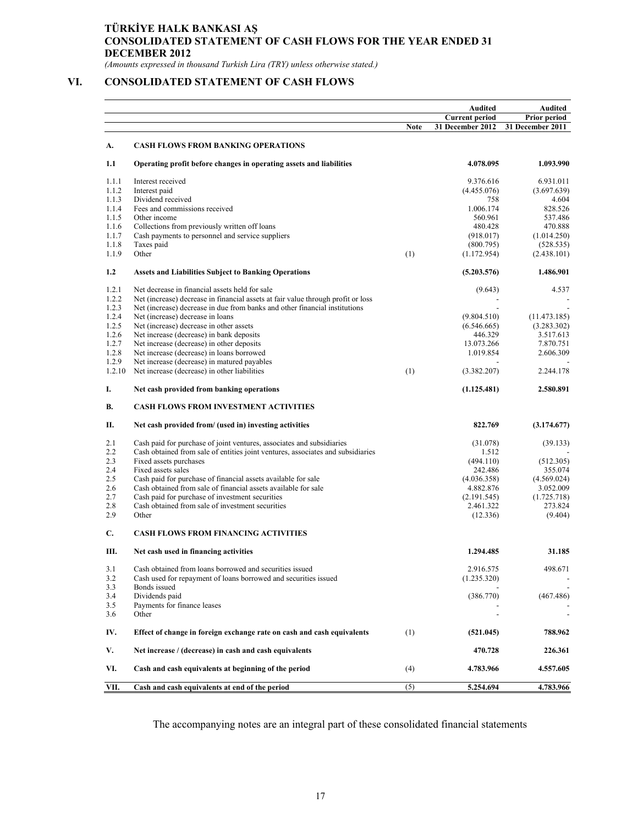## **TÜRKİYE HALK BANKASI AŞ CONSOLIDATED STATEMENT OF CASH FLOWS FOR THE YEAR ENDED 31 DECEMBER 2012**

*(Amounts expressed in thousand Turkish Lira (TRY) unless otherwise stated.)* 

## **VI. CONSOLIDATED STATEMENT OF CASH FLOWS**

|        |                                                                                  |             | Audited               | Audited             |
|--------|----------------------------------------------------------------------------------|-------------|-----------------------|---------------------|
|        |                                                                                  |             | <b>Current period</b> | <b>Prior period</b> |
|        |                                                                                  | <b>Note</b> | 31 December 2012      | 31 December 2011    |
| А.     | <b>CASH FLOWS FROM BANKING OPERATIONS</b>                                        |             |                       |                     |
| 1.1    | Operating profit before changes in operating assets and liabilities              |             | 4.078.095             | 1.093.990           |
| 1.1.1  | Interest received                                                                |             | 9.376.616             | 6.931.011           |
| 1.1.2  | Interest paid                                                                    |             | (4.455.076)           | (3.697.639)         |
| 1.1.3  | Dividend received                                                                |             | 758                   | 4.604               |
| 1.1.4  | Fees and commissions received                                                    |             | 1.006.174             | 828.526             |
| 1.1.5  | Other income                                                                     |             | 560.961               | 537.486             |
| 1.1.6  | Collections from previously written off loans                                    |             | 480.428               | 470.888             |
| 1.1.7  | Cash payments to personnel and service suppliers                                 |             | (918.017)             | (1.014.250)         |
| 1.1.8  | Taxes paid                                                                       |             | (800.795)             | (528.535)           |
| 1.1.9  | Other                                                                            | (1)         | (1.172.954)           | (2.438.101)         |
| 1.2    | <b>Assets and Liabilities Subject to Banking Operations</b>                      |             | (5.203.576)           | 1.486.901           |
| 1.2.1  | Net decrease in financial assets held for sale                                   |             | (9.643)               | 4.537               |
| 1.2.2  | Net (increase) decrease in financial assets at fair value through profit or loss |             |                       |                     |
| 1.2.3  | Net (increase) decrease in due from banks and other financial institutions       |             |                       |                     |
| 1.2.4  | Net (increase) decrease in loans                                                 |             | (9.804.510)           | (11.473.185)        |
| 1.2.5  | Net (increase) decrease in other assets                                          |             | (6.546.665)           | (3.283.302)         |
| 1.2.6  | Net increase (decrease) in bank deposits                                         |             | 446.329               | 3.517.613           |
| 1.2.7  | Net increase (decrease) in other deposits                                        |             | 13.073.266            | 7.870.751           |
| 1.2.8  | Net increase (decrease) in loans borrowed                                        |             | 1.019.854             | 2.606.309           |
| 1.2.9  | Net increase (decrease) in matured payables                                      |             |                       |                     |
| 1.2.10 | Net increase (decrease) in other liabilities                                     | (1)         | (3.382.207)           | 2.244.178           |
| I.     | Net cash provided from banking operations                                        |             | (1.125.481)           | 2.580.891           |
|        |                                                                                  |             |                       |                     |
| В.     | <b>CASH FLOWS FROM INVESTMENT ACTIVITIES</b>                                     |             |                       |                     |
| П.     | Net cash provided from/ (used in) investing activities                           |             | 822.769               | (3.174.677)         |
| 2.1    | Cash paid for purchase of joint ventures, associates and subsidiaries            |             | (31.078)              | (39.133)            |
| 2.2    | Cash obtained from sale of entities joint ventures, associates and subsidiaries  |             | 1.512                 |                     |
| 2.3    | Fixed assets purchases                                                           |             | (494.110)             | (512.305)           |
| 2.4    | Fixed assets sales                                                               |             | 242.486               | 355.074             |
| 2.5    | Cash paid for purchase of financial assets available for sale                    |             | (4.036.358)           | (4.569.024)         |
| 2.6    | Cash obtained from sale of financial assets available for sale                   |             | 4.882.876             | 3.052.009           |
| 2.7    | Cash paid for purchase of investment securities                                  |             | (2.191.545)           | (1.725.718)         |
| 2.8    | Cash obtained from sale of investment securities                                 |             | 2.461.322             | 273.824             |
| 2.9    | Other                                                                            |             | (12.336)              | (9.404)             |
| C.     | <b>CASH FLOWS FROM FINANCING ACTIVITIES</b>                                      |             |                       |                     |
| Ш.     | Net cash used in financing activities                                            |             | 1.294.485             | 31.185              |
| 3.1    | Cash obtained from loans borrowed and securities issued                          |             | 2.916.575             | 498.671             |
| 3.2    | Cash used for repayment of loans borrowed and securities issued                  |             | (1.235.320)           |                     |
| 3.3    | Bonds issued                                                                     |             |                       |                     |
| 3.4    | Dividends paid                                                                   |             | (386.770)             | (467.486)           |
| 3.5    | Payments for finance leases                                                      |             |                       |                     |
| 3.6    | Other                                                                            |             |                       |                     |
| IV.    | Effect of change in foreign exchange rate on cash and cash equivalents           | (1)         | (521.045)             | 788.962             |
| V.     | Net increase / (decrease) in cash and cash equivalents                           |             | 470.728               | 226.361             |
| VI.    | Cash and cash equivalents at beginning of the period                             | (4)         | 4.783.966             | 4.557.605           |
| VII.   | Cash and cash equivalents at end of the period                                   | (5)         | 5.254.694             | 4.783.966           |